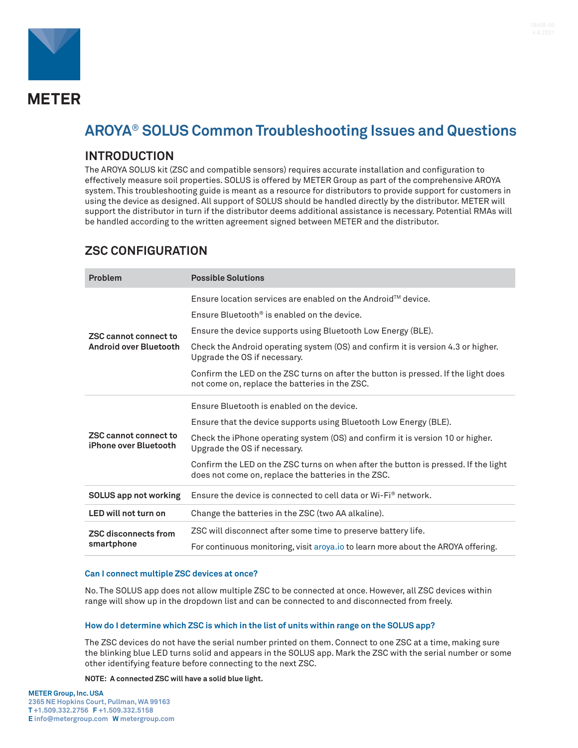

# **AROYA**® **SOLUS Common Troubleshooting Issues and Questions**

## **INTRODUCTION**

The AROYA SOLUS kit (ZSC and compatible sensors) requires accurate installation and configuration to effectively measure soil properties. SOLUS is offered by METER Group as part of the comprehensive AROYA system. This troubleshooting guide is meant as a resource for distributors to provide support for customers in using the device as designed. All support of SOLUS should be handled directly by the distributor. METER will support the distributor in turn if the distributor deems additional assistance is necessary. Potential RMAs will be handled according to the written agreement signed between METER and the distributor.

## **ZSC CONFIGURATION**

| <b>Problem</b>                                                | <b>Possible Solutions</b>                                                                                                                 |
|---------------------------------------------------------------|-------------------------------------------------------------------------------------------------------------------------------------------|
| <b>ZSC cannot connect to</b><br><b>Android over Bluetooth</b> | Ensure location services are enabled on the Android <sup><math>M</math></sup> device.                                                     |
|                                                               | Ensure Bluetooth <sup>®</sup> is enabled on the device.                                                                                   |
|                                                               | Ensure the device supports using Bluetooth Low Energy (BLE).                                                                              |
|                                                               | Check the Android operating system (OS) and confirm it is version 4.3 or higher.<br>Upgrade the OS if necessary.                          |
|                                                               | Confirm the LED on the ZSC turns on after the button is pressed. If the light does<br>not come on, replace the batteries in the ZSC.      |
| ZSC cannot connect to<br>iPhone over Bluetooth                | Ensure Bluetooth is enabled on the device.                                                                                                |
|                                                               | Ensure that the device supports using Bluetooth Low Energy (BLE).                                                                         |
|                                                               | Check the iPhone operating system (OS) and confirm it is version 10 or higher.<br>Upgrade the OS if necessary.                            |
|                                                               | Confirm the LED on the ZSC turns on when after the button is pressed. If the light<br>does not come on, replace the batteries in the ZSC. |
| <b>SOLUS app not working</b>                                  | Ensure the device is connected to cell data or $Wi$ -Fi $^{\circ}$ network.                                                               |
| LED will not turn on                                          | Change the batteries in the ZSC (two AA alkaline).                                                                                        |
| <b>ZSC disconnects from</b><br>smartphone                     | ZSC will disconnect after some time to preserve battery life.                                                                             |
|                                                               | For continuous monitoring, visit aroya.io to learn more about the AROYA offering.                                                         |

### **Can I connect multiple ZSC devices at once?**

No. The SOLUS app does not allow multiple ZSC to be connected at once. However, all ZSC devices within range will show up in the dropdown list and can be connected to and disconnected from freely.

### **How do I determine which ZSC is which in the list of units within range on the SOLUS app?**

The ZSC devices do not have the serial number printed on them. Connect to one ZSC at a time, making sure the blinking blue LED turns solid and appears in the SOLUS app. Mark the ZSC with the serial number or some other identifying feature before connecting to the next ZSC.

**NOTE: A connected ZSC will have a solid blue light.**